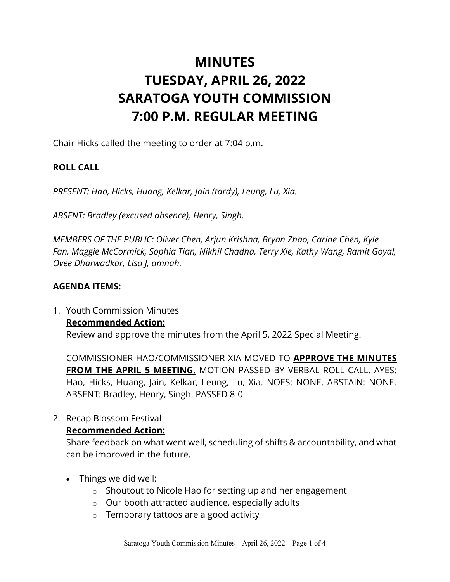# **MINUTES TUESDAY, APRIL 26, 2022 SARATOGA YOUTH COMMISSION 7:00 P.M. REGULAR MEETING**

Chair Hicks called the meeting to order at 7:04 p.m.

## **ROLL CALL**

*PRESENT: Hao, Hicks, Huang, Kelkar, Jain (tardy), Leung, Lu, Xia.* 

*ABSENT: Bradley (excused absence), Henry, Singh.*

*MEMBERS OF THE PUBLIC: Oliver Chen, Arjun Krishna, Bryan Zhao, Carine Chen, Kyle Fan, Maggie McCormick, Sophia Tian, Nikhil Chadha, Terry Xie, Kathy Wang, Ramit Goyal, Ovee Dharwadkar, Lisa J, amnah.*

#### **AGENDA ITEMS:**

1. Youth Commission Minutes **Recommended Action:** Review and approve the minutes from the April 5, 2022 Special Meeting.

COMMISSIONER HAO/COMMISSIONER XIA MOVED TO **APPROVE THE MINUTES FROM THE APRIL 5 MEETING.** MOTION PASSED BY VERBAL ROLL CALL. AYES: Hao, Hicks, Huang, Jain, Kelkar, Leung, Lu, Xia. NOES: NONE. ABSTAIN: NONE. ABSENT: Bradley, Henry, Singh. PASSED 8-0.

2. Recap Blossom Festival

#### **Recommended Action:**

Share feedback on what went well, scheduling of shifts & accountability, and what can be improved in the future.

- Things we did well:
	- o Shoutout to Nicole Hao for setting up and her engagement
	- o Our booth attracted audience, especially adults
	- o Temporary tattoos are a good activity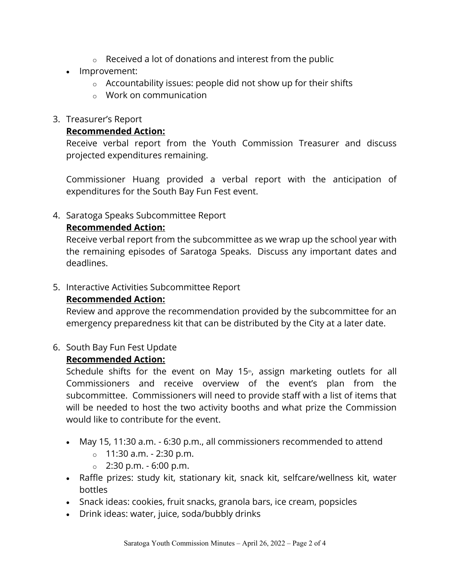- $\circ$  Received a lot of donations and interest from the public
- Improvement:
	- $\circ$  Accountability issues: people did not show up for their shifts
	- o Work on communication
- 3. Treasurer's Report

## **Recommended Action:**

Receive verbal report from the Youth Commission Treasurer and discuss projected expenditures remaining.

Commissioner Huang provided a verbal report with the anticipation of expenditures for the South Bay Fun Fest event.

4. Saratoga Speaks Subcommittee Report

# **Recommended Action:**

Receive verbal report from the subcommittee as we wrap up the school year with the remaining episodes of Saratoga Speaks. Discuss any important dates and deadlines.

## 5. Interactive Activities Subcommittee Report

# **Recommended Action:**

Review and approve the recommendation provided by the subcommittee for an emergency preparedness kit that can be distributed by the City at a later date.

6. South Bay Fun Fest Update

# **Recommended Action:**

Schedule shifts for the event on May 15<sup>th</sup>, assign marketing outlets for all Commissioners and receive overview of the event's plan from the subcommittee. Commissioners will need to provide staff with a list of items that will be needed to host the two activity booths and what prize the Commission would like to contribute for the event.

- May 15, 11:30 a.m. 6:30 p.m., all commissioners recommended to attend
	- $\circ$  11:30 a.m. 2:30 p.m.
	- $\circ$  2:30 p.m. 6:00 p.m.
- Raffle prizes: study kit, stationary kit, snack kit, selfcare/wellness kit, water bottles
- Snack ideas: cookies, fruit snacks, granola bars, ice cream, popsicles
- Drink ideas: water, juice, soda/bubbly drinks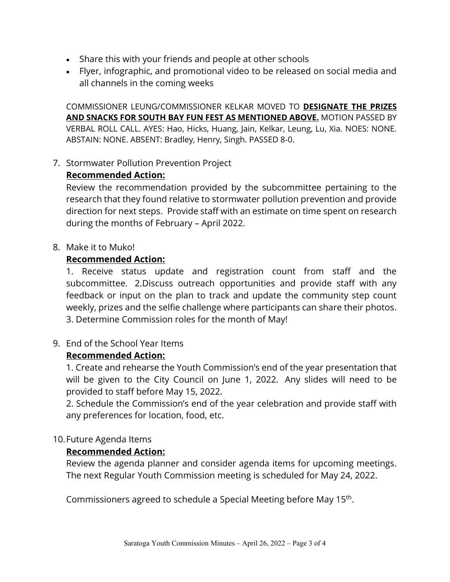- Share this with your friends and people at other schools
- Flyer, infographic, and promotional video to be released on social media and all channels in the coming weeks

COMMISSIONER LEUNG/COMMISSIONER KELKAR MOVED TO **DESIGNATE THE PRIZES AND SNACKS FOR SOUTH BAY FUN FEST AS MENTIONED ABOVE.** MOTION PASSED BY VERBAL ROLL CALL. AYES: Hao, Hicks, Huang, Jain, Kelkar, Leung, Lu, Xia. NOES: NONE. ABSTAIN: NONE. ABSENT: Bradley, Henry, Singh. PASSED 8-0.

7. Stormwater Pollution Prevention Project

## **Recommended Action:**

Review the recommendation provided by the subcommittee pertaining to the research that they found relative to stormwater pollution prevention and provide direction for next steps. Provide staff with an estimate on time spent on research during the months of February – April 2022.

#### 8. Make it to Muko!

## **Recommended Action:**

1. Receive status update and registration count from staff and the subcommittee. 2.Discuss outreach opportunities and provide staff with any feedback or input on the plan to track and update the community step count weekly, prizes and the selfie challenge where participants can share their photos. 3. Determine Commission roles for the month of May!

## 9. End of the School Year Items

## **Recommended Action:**

1. Create and rehearse the Youth Commission's end of the year presentation that will be given to the City Council on June 1, 2022. Any slides will need to be provided to staff before May 15, 2022.

2. Schedule the Commission's end of the year celebration and provide staff with any preferences for location, food, etc.

#### 10.Future Agenda Items

## **Recommended Action:**

Review the agenda planner and consider agenda items for upcoming meetings. The next Regular Youth Commission meeting is scheduled for May 24, 2022.

Commissioners agreed to schedule a Special Meeting before May 15<sup>th</sup>.